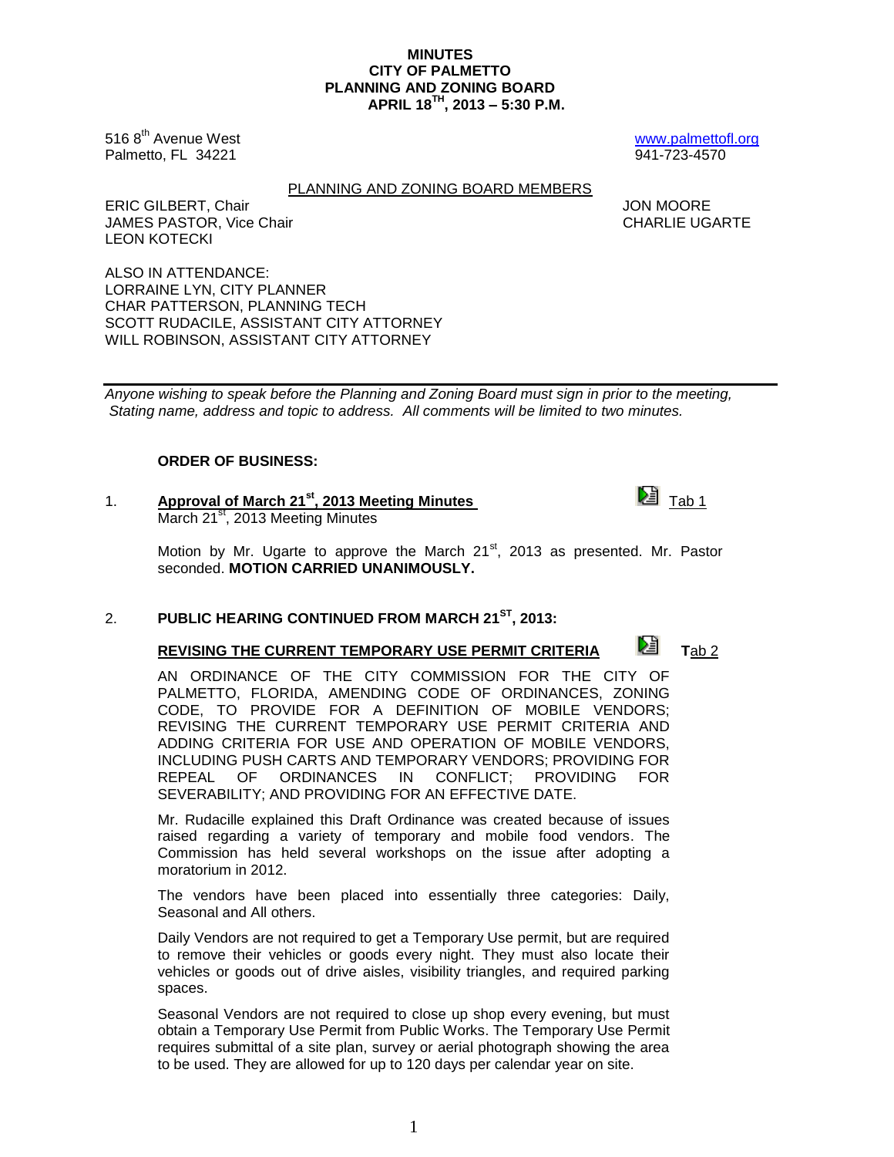1

### **MINUTES CITY OF PALMETTO PLANNING AND ZONING BOARD APRIL 18TH , 2013 – 5:30 P.M.**

516 8<sup>th</sup> Avenue West [www.palmettofl.org](http://www.palmettofl.org/) Palmetto, FL 34221 941-723-4570

PLANNING AND ZONING BOARD MEMBERS

ERIC GILBERT, Chair **JON MOORE** JAMES PASTOR, Vice Chair CHARLIE UGARTE

LEON KOTECKI ALSO IN ATTENDANCE: LORRAINE LYN, CITY PLANNER CHAR PATTERSON, PLANNING TECH SCOTT RUDACILE, ASSISTANT CITY ATTORNEY

WILL ROBINSON, ASSISTANT CITY ATTORNEY

*Anyone wishing to speak before the Planning and Zoning Board must sign in prior to the meeting, Stating name, address and topic to address. All comments will be limited to two minutes.*

## **ORDER OF BUSINESS:**

1. **Approval of March 21<sup>st</sup>, 2013 Meeting Minutes** The Tab 1 March 21<sup>st</sup>, 2013 Meeting Minutes

Motion by Mr. Ugarte to approve the March  $21<sup>st</sup>$ , 2013 as presented. Mr. Pastor seconded. **MOTION CARRIED UNANIMOUSLY.**

## 2. **PUBLIC HEARING CONTINUED FROM MARCH 21ST, 2013:**

# **REVISING THE CURRENT TEMPORARY USE PERMIT CRITERIA Let T**ab 2

AN ORDINANCE OF THE CITY COMMISSION FOR THE CITY OF PALMETTO, FLORIDA, AMENDING CODE OF ORDINANCES, ZONING CODE, TO PROVIDE FOR A DEFINITION OF MOBILE VENDORS; REVISING THE CURRENT TEMPORARY USE PERMIT CRITERIA AND ADDING CRITERIA FOR USE AND OPERATION OF MOBILE VENDORS, INCLUDING PUSH CARTS AND TEMPORARY VENDORS; PROVIDING FOR REPEAL OF ORDINANCES IN CONFLICT; PROVIDING FOR SEVERABILITY; AND PROVIDING FOR AN EFFECTIVE DATE.

Mr. Rudacille explained this Draft Ordinance was created because of issues raised regarding a variety of temporary and mobile food vendors. The Commission has held several workshops on the issue after adopting a moratorium in 2012.

The vendors have been placed into essentially three categories: Daily, Seasonal and All others.

Daily Vendors are not required to get a Temporary Use permit, but are required to remove their vehicles or goods every night. They must also locate their vehicles or goods out of drive aisles, visibility triangles, and required parking spaces.

Seasonal Vendors are not required to close up shop every evening, but must obtain a Temporary Use Permit from Public Works. The Temporary Use Permit requires submittal of a site plan, survey or aerial photograph showing the area to be used. They are allowed for up to 120 days per calendar year on site.

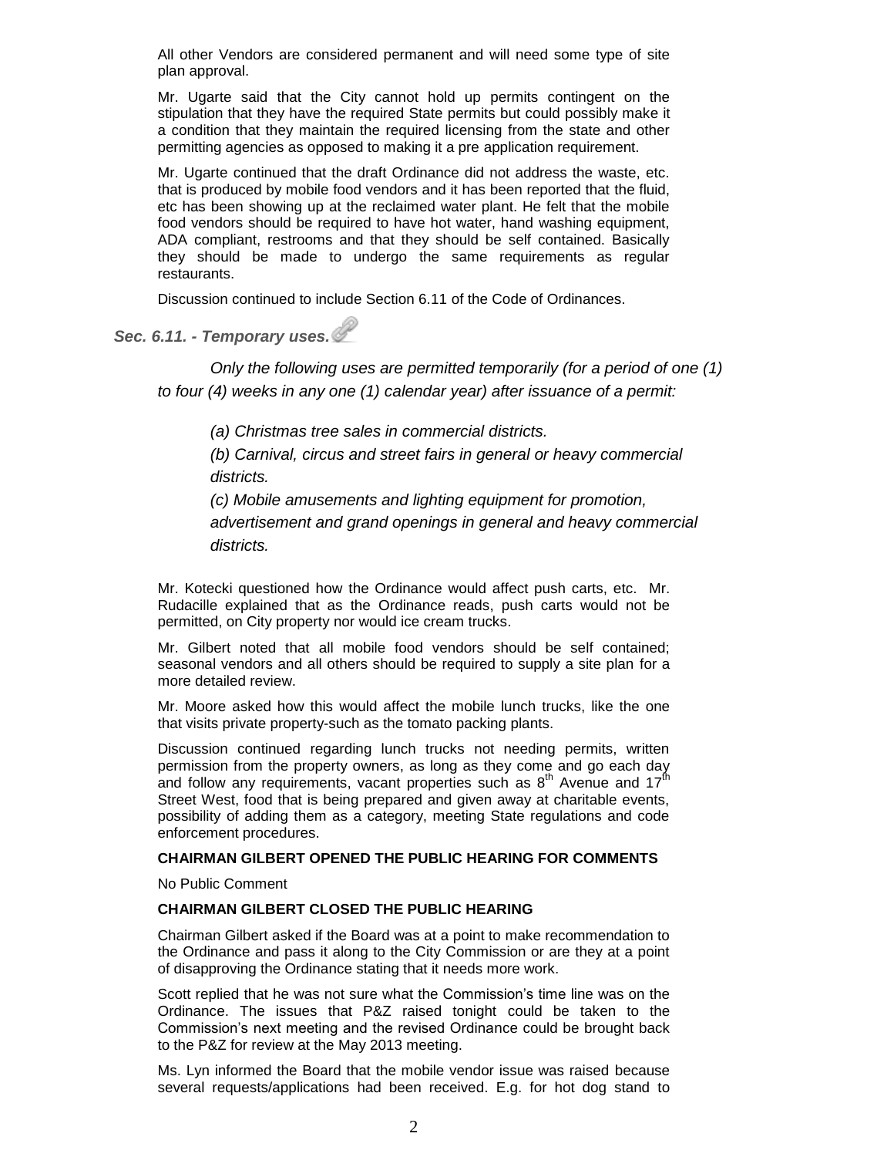All other Vendors are considered permanent and will need some type of site plan approval.

Mr. Ugarte said that the City cannot hold up permits contingent on the stipulation that they have the required State permits but could possibly make it a condition that they maintain the required licensing from the state and other permitting agencies as opposed to making it a pre application requirement.

Mr. Ugarte continued that the draft Ordinance did not address the waste, etc. that is produced by mobile food vendors and it has been reported that the fluid, etc has been showing up at the reclaimed water plant. He felt that the mobile food vendors should be required to have hot water, hand washing equipment, ADA compliant, restrooms and that they should be self contained. Basically they should be made to undergo the same requirements as regular restaurants.

Discussion continued to include Section 6.11 of the Code of Ordinances.

*Sec. 6.11. - Temporary uses.*

*Only the following uses are permitted temporarily (for a period of one (1) to four (4) weeks in any one (1) calendar year) after issuance of a permit:*

*(a) Christmas tree sales in commercial districts.*

*(b) Carnival, circus and street fairs in general or heavy commercial districts.*

*(c) Mobile amusements and lighting equipment for promotion, advertisement and grand openings in general and heavy commercial districts.*

Mr. Kotecki questioned how the Ordinance would affect push carts, etc. Mr. Rudacille explained that as the Ordinance reads, push carts would not be permitted, on City property nor would ice cream trucks.

Mr. Gilbert noted that all mobile food vendors should be self contained; seasonal vendors and all others should be required to supply a site plan for a more detailed review.

Mr. Moore asked how this would affect the mobile lunch trucks, like the one that visits private property-such as the tomato packing plants.

Discussion continued regarding lunch trucks not needing permits, written permission from the property owners, as long as they come and go each day and follow any requirements, vacant properties such as  $8<sup>th</sup>$  Avenue and 17 $<sup>th</sup>$ </sup> Street West, food that is being prepared and given away at charitable events, possibility of adding them as a category, meeting State regulations and code enforcement procedures.

### **CHAIRMAN GILBERT OPENED THE PUBLIC HEARING FOR COMMENTS**

No Public Comment

## **CHAIRMAN GILBERT CLOSED THE PUBLIC HEARING**

Chairman Gilbert asked if the Board was at a point to make recommendation to the Ordinance and pass it along to the City Commission or are they at a point of disapproving the Ordinance stating that it needs more work.

Scott replied that he was not sure what the Commission's time line was on the Ordinance. The issues that P&Z raised tonight could be taken to the Commission's next meeting and the revised Ordinance could be brought back to the P&Z for review at the May 2013 meeting.

Ms. Lyn informed the Board that the mobile vendor issue was raised because several requests/applications had been received. E.g. for hot dog stand to